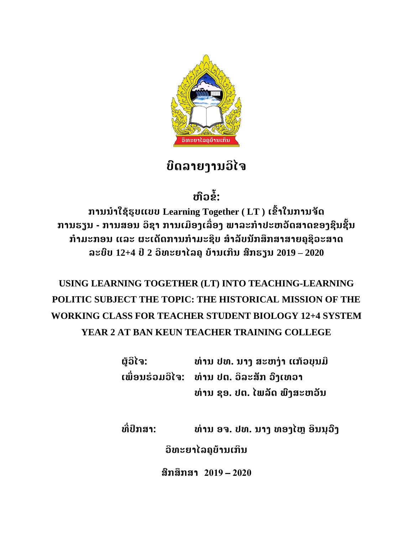

# **ບົດລາຍງານວິໄຈ**

**ຫົວຂ ໍ້:**

**ການນ າໃຊ້ຮູບແບບ Learning Together ( LT ) ເຂົໍ້າໃນການຈັດ ການຮຽນ - ການສອນ ວິຊາ ການເມືອງເລືື່ອງ ພາລະກ າປະຫວັດສາດຂອງຊົນຊັໍ້ນ ກ າມະກອນ ແລະ ຜະເດັດການກ າມະຊີບ ສ າລັບນັກສຶກສາສາຍຄູຊີວະສາດ ລະບົບ 12+4 ປີ2 ວິທະຍາໄລຄູບ້ານເກີນ ສົກຮຽນ 2019 – 2020**

## **USING LEARNING TOGETHER (LT) INTO TEACHING-LEARNING POLITIC SUBJECT THE TOPIC: THE HISTORICAL MISSION OF THE WORKING CLASS FOR TEACHER STUDENT BIOLOGY 12+4 SYSTEM YEAR 2 AT BAN KEUN TEACHER TRAINING COLLEGE**

**ຜູ້ວິໄຈ: ທ່ານ ປທ. ນາງ ສະຫງ່າ ແກ້ວບຸນມີ ເພືື່ອນຮ່ວມວິໄຈ: ທ່ານ ປຕ. ວິລະສັກ ວົງເທວາ ທ່ານ ຊອ. ປຕ. ໄພລັດ ພົງສະຫວັນ**

**ທີື່ປຶກສາ: ທ່ານ ອຈ. ປທ. ນາງ ທອງໄຫຼ ອິນນຸວົງ**

**ວິທະຍາໄລຄູບ້ານເກິນ**

**ສົກສຶກສາ 2019** – **2020**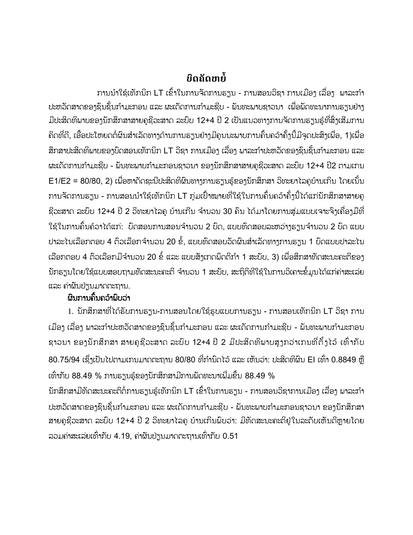## **ບົດຄັດຫຍ ໍ້**

ການນຳໃຊ້ເທັກນິກ LT ເຂົ້າໃນການຈັດການຮຽນ - ການສອນວິຊາ ການເມືອງ ເລື່ອງ ພາລະກຳ ປະຫວັດສາດຂອງຊິນຊັ້ນກຳມະກອນ ແລະ ຜະເດັດການກຳມະຊີບ - ພັນທະພາບຊາວນາ ເພື່ອພັດທະນາການຮຽນຢ່າງ ມີປະສິດທິພາບຂອງນັກສຶກສາສາຍຄູຊີວະສາດ ລະບົບ 12+4 ປີ 2 ເປັນແນວທາງການຈັດການຮຽນຮູ້ທີ່ສິ່ງເສີມການ ຄິດທີ່ດີ, ເອື້ອປະໂຫຍດຕໍ່ຜິນສຳເລັດທາງດ້ານການຮຽນຢ່າງມີຄຸນນະພາບການຄົ້ນຄວ້າຄັ້ງນີ້ມີຈຸດປະສິງເພື່ອ, 1)ເພື່ອ ສຶກສາປະສິດທິພາບຂອງບົດສອນເທັກນິກ LT ວິຊາ ການເມືອງ ເລື່ອງ ພາລະກຳປະຫວັດຂອງຊົນຊັ້ນກຳມະກອນ ແລະ ຜະເດັດການກຳມະຊີບ - ພັນທະພາບກຳມະກອນຊາວນາ ຂອງນັກສຶກສາສາຍຄຸຊີວະສາດ ລະບົບ 12+4 ປີ2 ຕາມເກນ E1/E2 = 80/80, 2) ເພື່ອຫາດັດຊະນີປະສິດທິຜິນທາງການຮຽນຮູ້ຂອງນັກສຶກສາ ວິທະຍາໄລຄູບ້ານເກິນ ໂດຍເນັ້ນ ການຈັດການຮຽນ - ການສອນນຳໃຊ້ເທັກນິກ LT ກຸ່ມເປົ້າໝາຍທີ່ໃຊ້ໃນການຄົ້ນຄວ້າຄັ້ງນີ້ໄດ້ແກ່ນັກສຶກສາສາຍຄູ ຊີວະສາດ ລະບົບ 12+4 ປີ 2 ວິທະຍາໄລຄູ ບ້ານເກີນ ຈຳນວນ 30 ຄົນ ໄດ້ມາໂດຍການສຸ່ມແບບເຈາະຈິງເຄື່ອງມືທີ່ ໃຊ້ໃນການຄົ້ນຄ້ວາໄດ້ແກ່: ບົດສອນການສອນຈຳນວນ 2 ບົດ, ແບບທົດສອບລະຫວ່າງຮຽນຈຳນວນ 2 ບົດ ແບບ ປາລະໄນເລືອກຕອບ 4 ຕົວເລືອກຈຳນວນ 20 ຂໍ້, ແບບທົດສອບວັດຜິນສຳເລັດທາງການຮຽນ 1 ບົດແບບປາລະໄນ ເລືອກຕອບ 4 ຕົວເລືອກມີຈຳນວນ 20 ຂໍ້ ແລະ ແບບສັງເກດພຶດຕິກຳ 1 ສະບັບ, 3) ເພື່ອສຶກສາທັດສະນະຄະຕິຂອງ ັນກຮຽນໂດຍໃຊ້ແບບສອບຖາມທັດສະນະຄະຕິ ຈຳນວນ 1 ສະບັບ, ສະຖິຕິທີໃຊ້ໃນການວິເຄາະຂໍ້ມູນໄດ້ແກ່ຄ່າສະເລ່ຍ ແລະ ຄຸ່າຜັນປ່ຽນມາດຕະຖານ.

### ຜົນການຄົ້ນຄວ້າພົບວ່າ

1. ນັກສຶກສາທີື່ໄດ້ຮັບການຮຽນ-ການສອນໂດຍໃຊ້ຮູບແບບການຮຽນ - ການສອນເທັກນິກ LT ວິຊາ ການ ເມືອງ ເລື່ອງ ພາລະກຳປະຫວັດສາດຂອງຊິ້ນຊັ້ນກຳມະກອນ ແລະ ຜະເດັດການກຳມະຊີບ - ພັນທະພາບກຳມະກອນ ຂາວນາ ຂອງນັກສຶກສາ ສາຍຄຊີວະສາດ ລະບົບ 12+4 ປີ 2 ມີປະສິດທິພາບສາກວ່າເກນທີ່ຕັ້ງໄວ້ ເທົ່າກັບ 80.75/94 ເຊຶ່ງເປັນໄປຕາມເກນມາດຕະຖານ 80/80 ທີ່ກຳນົດໄວ້ ແລະ ເຫັນວ່າ: ປະສິດທິຜິນ El ເທົ່າ 0.8849 ຫຼື ເທົ່າກັບ 88.49 % ການຮຽນຮ້ຂອງນັກສຶກສາມີການພັດທະນາເພີ່ມຂຶ້ນ 88.49 % ້ນັກສຶກສາມີທັດສະນະຄະຕິຕໍ່ການຮຽນຮູ້ເທັກນິກ LT ເຂົ້າໃນການຮຽນ - ການສອນວິຊາການເມືອງ ເລື່ອງ ພາລະກຳ ປະຫວັດສາດຂອງຊິ້ນຊັ້ນກຳມະກອນ ແລະ ຜະເດັດການກຳມະຊີບ - ພັນທະພາບກຳມະກອນຊາວນາ ຂອງນັກສຶກສາ ສາຍຄູຊີວະສາດ ລະບົບ 12+4 ປີ 2 ວິທະຍາໄລຄູ ບ້ານເກິນພົບວ່າ: ມີທັດສະນະຄະຕິຢູ່ໃນລະດັບເຫັນດີຫຼາຍໂດຍ

ລວມຄ່າສະເລ່ຍເທົ່າກັບ 4.19, ຄ່າຜັນປ່ຽນມາດຕະຖານເທົ່າກັບ 0.51